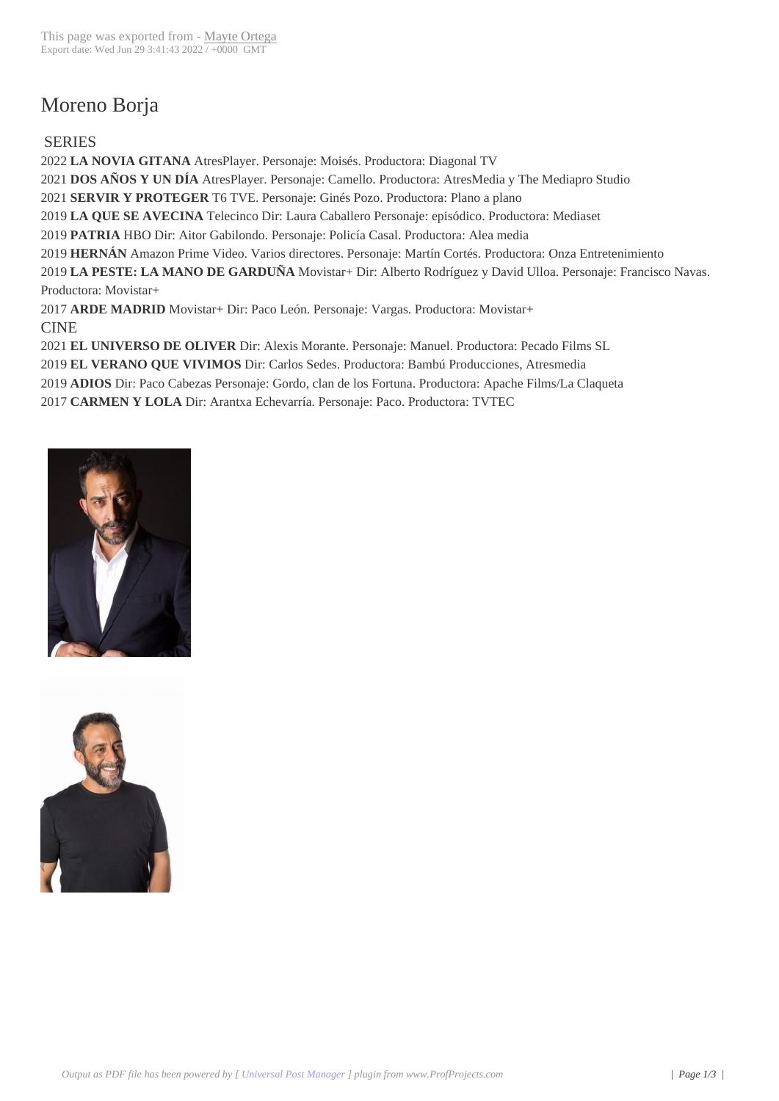## Moreno Borja

## SERIES

**LA NOVIA GITANA** AtresPlayer. Personaje: Moisés. Productora: Diagonal TV **DOS AÑOS Y UN DÍA** AtresPlayer. Personaje: Camello. Productora: AtresMedia y The Mediapro Studio **SERVIR Y PROTEGER** T6 TVE. Personaje: Ginés Pozo. Productora: Plano a plano **LA QUE SE AVECINA** Telecinco Dir: Laura Caballero Personaje: episódico. Productora: Mediaset **PATRIA** HBO Dir: Aitor Gabilondo. Personaje: Policía Casal. Productora: Alea media **HERNÁN** Amazon Prime Video. Varios directores. Personaje: Martín Cortés. Productora: Onza Entretenimiento **LA PESTE: LA MANO DE GARDUÑA** Movistar+ Dir: Alberto Rodríguez y David Ulloa. Personaje: Francisco Navas. Productora: Movistar+ **ARDE MADRID** Movistar+ Dir: Paco León. Personaje: Vargas. Productora: Movistar+ CINE

**EL UNIVERSO DE OLIVER** Dir: Alexis Morante. Personaje: Manuel. Productora: Pecado Films SL

**EL VERANO QUE VIVIMOS** Dir: Carlos Sedes. Productora: Bambú Producciones, Atresmedia

**ADIOS** Dir: Paco Cabezas Personaje: Gordo, clan de los Fortuna. Productora: Apache Films/La Claqueta

**CARMEN Y LOLA** Dir: Arantxa Echevarría. Personaje: Paco. Productora: TVTEC



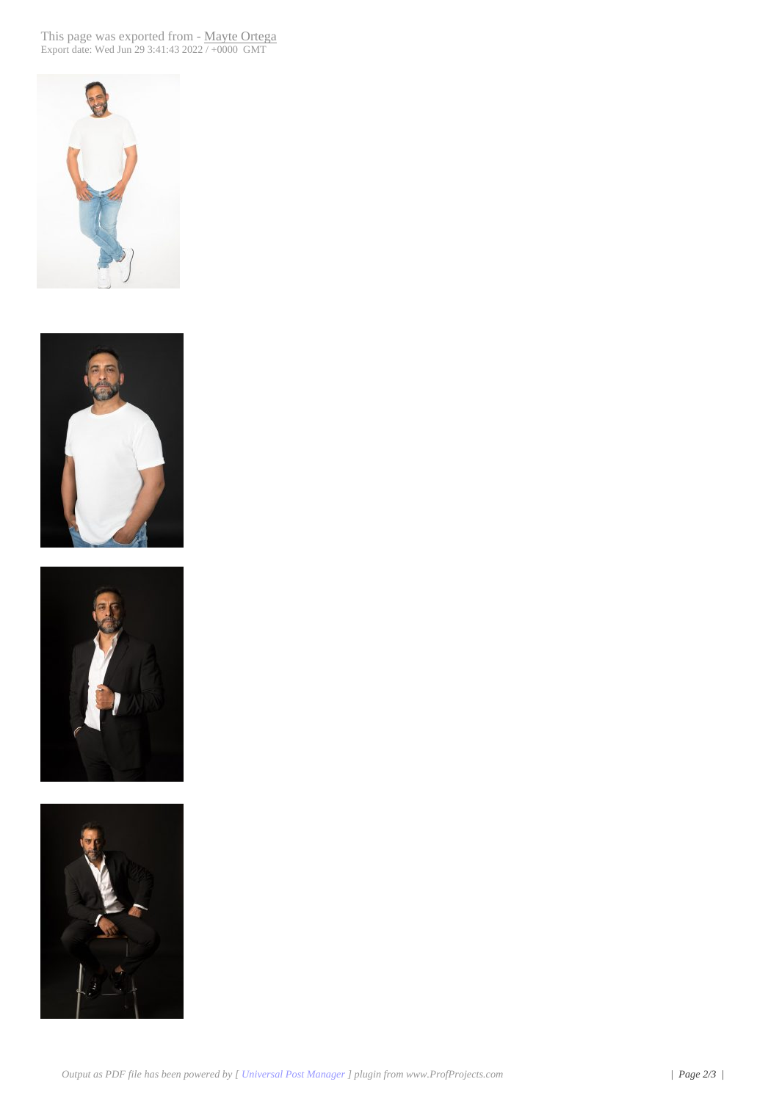